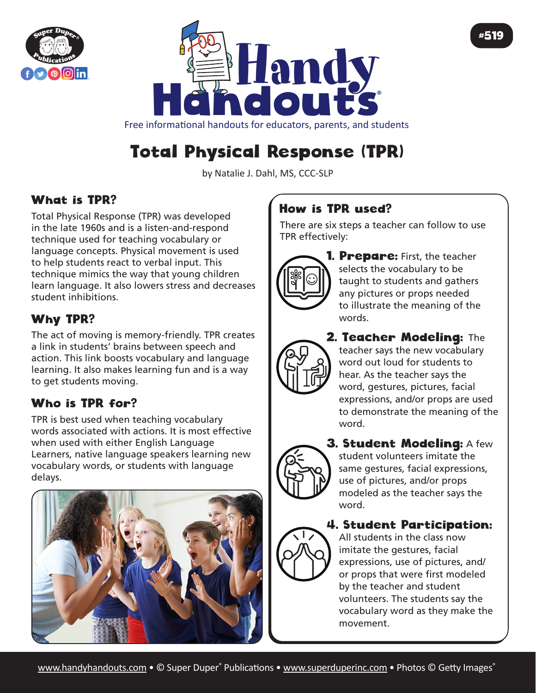



Free informational handouts for educators, parents, and students

# Total Physical Response (TPR)

by Natalie J. Dahl, MS, CCC-SLP

## What is TPR?

Total Physical Response (TPR) was developed in the late 1960s and is a listen-and-respond technique used for teaching vocabulary or language concepts. Physical movement is used to help students react to verbal input. This technique mimics the way that young children learn language. It also lowers stress and decreases student inhibitions.

## Why TPR?

The act of moving is memory-friendly. TPR creates a link in students' brains between speech and action. This link boosts vocabulary and language learning. It also makes learning fun and is a way to get students moving.

# Who is TPR for?

TPR is best used when teaching vocabulary words associated with actions. It is most effective when used with either English Language Learners, native language speakers learning new vocabulary words, or students with language delays.



## How is TPR used?

There are six steps a teacher can follow to use TPR effectively:



**1. Prepare:** First, the teacher selects the vocabulary to be taught to students and gathers any pictures or props needed to illustrate the meaning of the words.

#519

2. Teacher Modeling: The teacher says the new vocabulary word out loud for students to hear. As the teacher says the word, gestures, pictures, facial expressions, and/or props are used to demonstrate the meaning of the word.



**3. Student Modeling: A few** student volunteers imitate the same gestures, facial expressions, use of pictures, and/or props modeled as the teacher says the word.

### 4. Student Participation:

All students in the class now imitate the gestures, facial expressions, use of pictures, and/ or props that were first modeled by the teacher and student volunteers. The students say the vocabulary word as they make the movement.